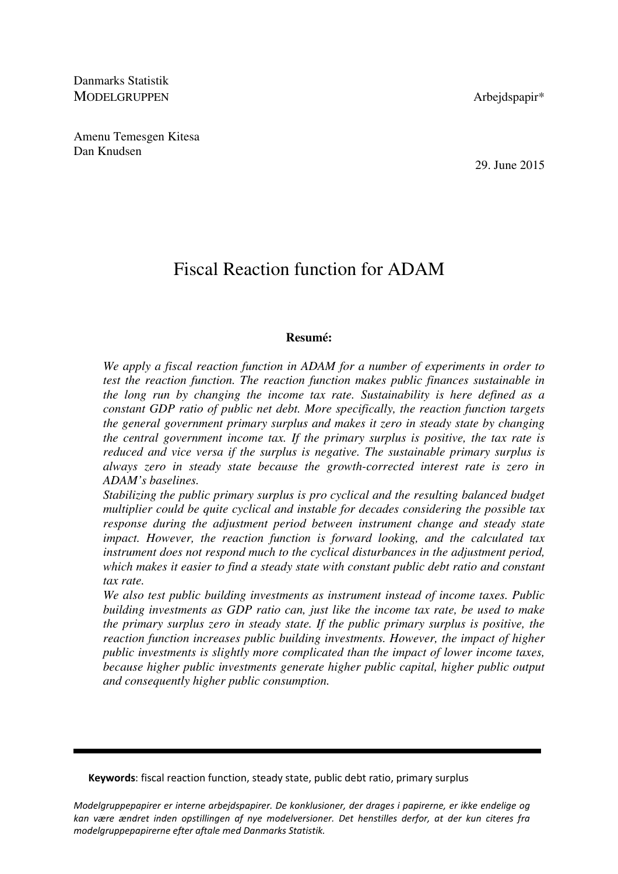Danmarks Statistik MODELGRUPPEN Arbejdspapir\*

Amenu Temesgen Kitesa Dan Knudsen

29. June 2015

# Fiscal Reaction function for ADAM

### **Resumé:**

*We apply a fiscal reaction function in ADAM for a number of experiments in order to test the reaction function. The reaction function makes public finances sustainable in the long run by changing the income tax rate. Sustainability is here defined as a constant GDP ratio of public net debt. More specifically, the reaction function targets the general government primary surplus and makes it zero in steady state by changing the central government income tax. If the primary surplus is positive, the tax rate is reduced and vice versa if the surplus is negative. The sustainable primary surplus is always zero in steady state because the growth-corrected interest rate is zero in ADAM's baselines.* 

*Stabilizing the public primary surplus is pro cyclical and the resulting balanced budget multiplier could be quite cyclical and instable for decades considering the possible tax response during the adjustment period between instrument change and steady state impact. However, the reaction function is forward looking, and the calculated tax instrument does not respond much to the cyclical disturbances in the adjustment period, which makes it easier to find a steady state with constant public debt ratio and constant tax rate.* 

*We also test public building investments as instrument instead of income taxes. Public building investments as GDP ratio can, just like the income tax rate, be used to make the primary surplus zero in steady state. If the public primary surplus is positive, the reaction function increases public building investments. However, the impact of higher public investments is slightly more complicated than the impact of lower income taxes, because higher public investments generate higher public capital, higher public output and consequently higher public consumption.* 

Keywords: fiscal reaction function, steady state, public debt ratio, primary surplus

Modelgruppepapirer er interne arbejdspapirer. De konklusioner, der drages i papirerne, er ikke endelige og kan være ændret inden opstillingen af nye modelversioner. Det henstilles derfor, at der kun citeres fra modelgruppepapirerne efter aftale med Danmarks Statistik.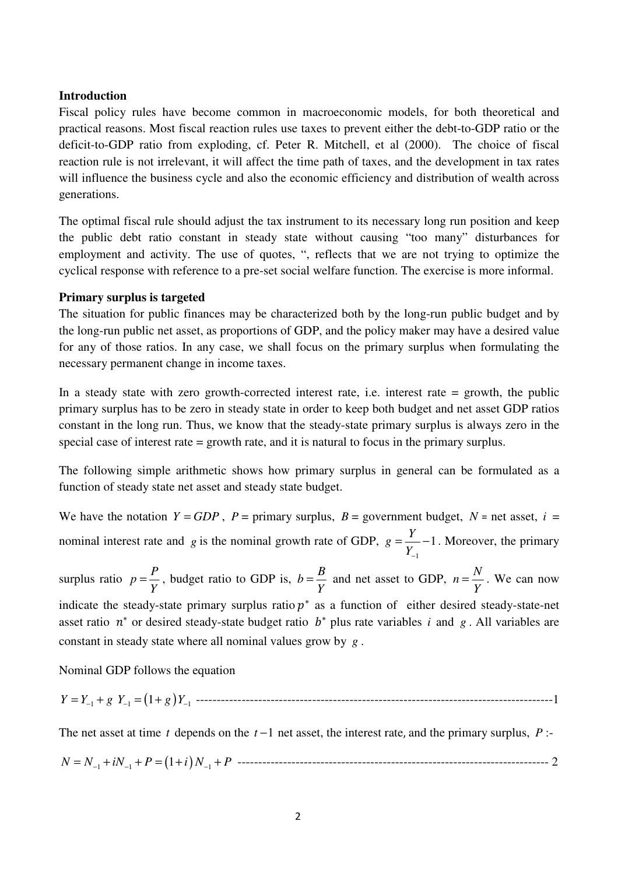## **Introduction**

Fiscal policy rules have become common in macroeconomic models, for both theoretical and practical reasons. Most fiscal reaction rules use taxes to prevent either the debt-to-GDP ratio or the deficit-to-GDP ratio from exploding, cf. Peter R. Mitchell, et al (2000). The choice of fiscal reaction rule is not irrelevant, it will affect the time path of taxes, and the development in tax rates will influence the business cycle and also the economic efficiency and distribution of wealth across generations.

The optimal fiscal rule should adjust the tax instrument to its necessary long run position and keep the public debt ratio constant in steady state without causing "too many" disturbances for employment and activity. The use of quotes, ", reflects that we are not trying to optimize the cyclical response with reference to a pre-set social welfare function. The exercise is more informal.

### **Primary surplus is targeted**

The situation for public finances may be characterized both by the long-run public budget and by the long-run public net asset, as proportions of GDP, and the policy maker may have a desired value for any of those ratios. In any case, we shall focus on the primary surplus when formulating the necessary permanent change in income taxes.

In a steady state with zero growth-corrected interest rate, i.e. interest rate = growth, the public primary surplus has to be zero in steady state in order to keep both budget and net asset GDP ratios constant in the long run. Thus, we know that the steady-state primary surplus is always zero in the special case of interest rate = growth rate, and it is natural to focus in the primary surplus.

The following simple arithmetic shows how primary surplus in general can be formulated as a function of steady state net asset and steady state budget.

We have the notation  $Y = GDP$ ,  $P = primary$  surplus,  $B = government$  budget,  $N = net$  asset,  $i =$ nominal interest rate and *g* is the nominal growth rate of GDP, 1  $g = \frac{Y}{Y} - 1$ *Y*−  $=\frac{1}{v}$  –1. Moreover, the primary surplus ratio  $p = \frac{P}{V}$ *Y*  $=\frac{P}{V}$ , budget ratio to GDP is,  $b=\frac{B}{V}$ *Y*  $=\frac{B}{V}$  and net asset to GDP,  $n = \frac{N}{V}$ *Y*  $=\frac{1}{x}$ . We can now indicate the steady-state primary surplus ratio  $p^*$  as a function of either desired steady-state-net asset ratio  $n^*$  or desired steady-state budget ratio  $b^*$  plus rate variables *i* and *g*. All variables are constant in steady state where all nominal values grow by *g* .

Nominal GDP follows the equation

*Y Y g Y g Y* = + = + − − − 1 1 1 1( ) --------------------------------------------------------------------------------------1

The net asset at time *t* depends on the *t* −1 net asset, the interest rate, and the primary surplus, *P* :-

*N N iN P i N P* = + + = + + − − − 1 1 1 (1 ) --------------------------------------------------------------------------- 2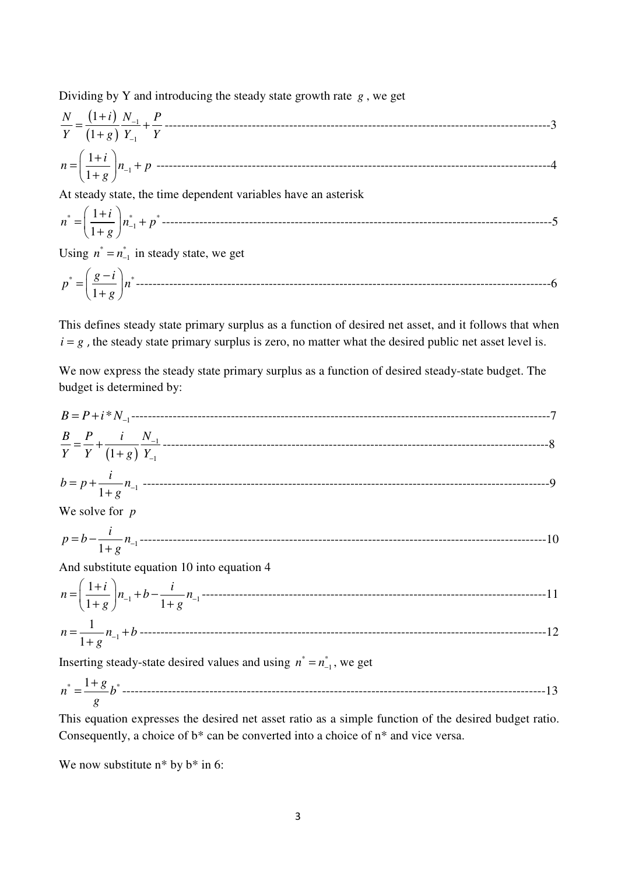Dividing by Y and introducing the steady state growth rate *g* , we get

$$
\frac{N}{Y} = \frac{(1+i)}{(1+g)} \frac{N_{-1}}{Y_{-1}} + \frac{P}{Y}
$$
.................  
\n
$$
n = \left(\frac{1+i}{1+g}\right) n_{-1} + p
$$
.................  
\nAt steady state, the time dependent variables have an asterisk

 $^*$   $\Box$   $\begin{array}{ccc} 1 \top t & \vert & \vert & \vert & \vert & \vert \end{array}$ 1 1 1  $n^* = \left(\frac{1+i}{1+i}\right) n_{-1}^* + p$  $g^{\prime}$ <sup> $\int_{0}^{L}$ </sup>  $(1+i)$ = + <sup>+</sup> ----------------------------------------------------------------------------------------------5

Using  $n^* = n_{-1}^*$  in steady state, we get

\* \* 1 *g i p n g* − <sup>=</sup> <sup>+</sup> ----------------------------------------------------------------------------------------------------6

This defines steady state primary surplus as a function of desired net asset, and it follows that when  $i = g$ , the steady state primary surplus is zero, no matter what the desired public net asset level is.

We now express the steady state primary surplus as a function of desired steady-state budget. The budget is determined by:

$$
B = P + i * N_{-1}
$$
\n
$$
\frac{B}{Y} = \frac{P}{Y} + \frac{i}{(1+g)} \frac{N_{-1}}{Y_{-1}}
$$
\n
$$
b = p + \frac{i}{1+g} n_{-1}
$$
\n
$$
W = p + \frac{i}{1+g} n_{-1}
$$
\n
$$
p = b - \frac{i}{1+g} n_{-1}
$$
\n
$$
m = \left(\frac{1+i}{1+g}\right) n_{-1} + b - \frac{i}{1+g} n_{-1}
$$
\n
$$
n = \frac{1}{1+g} n_{-1} + b
$$
\n
$$
m = \frac{1}{1+g} n_{-1} + b
$$
\n
$$
m = \frac{1}{1+g} n_{-1} + b
$$
\n
$$
m = \frac{1}{1+g} n_{-1} + b
$$
\n
$$
m = \frac{1}{1+g} n_{-1} + b
$$
\n
$$
m = \frac{1}{1+g} n_{-1} + b
$$
\n
$$
m = \frac{1}{1+g} n_{-1} + b
$$
\n
$$
m = \frac{1}{1+g} n_{-1} + b
$$
\n
$$
m = \frac{1}{1+g} n_{-1} + b
$$
\n
$$
m = \frac{1}{1+g} n_{-1} + b
$$
\n
$$
m = \frac{1}{1+g} n_{-1} + b
$$
\n
$$
m = \frac{1}{1+g} n_{-1} + b
$$
\n
$$
m = \frac{1}{1+g} n_{-1} + b
$$
\n
$$
m = \frac{1}{1+g} n_{-1} + b
$$
\n
$$
m = \frac{1}{1+g} n_{-1} + b
$$
\n
$$
m = \frac{1}{1+g} n_{-1} + b
$$
\n
$$
m = \frac{1}{1+g} n_{-1} + b
$$
\n
$$
m = \frac{1}{1+g} n_{-1} + b
$$
\n
$$
m = \frac{1}{1+g} n_{-1} + b
$$
\n
$$
m = \frac{1}{1+g} n_{-1} + b
$$
\n
$$
m = \frac{1}{1
$$

$$
n^* = \frac{1+g}{g}b^* = 1
$$

This equation expresses the desired net asset ratio as a simple function of the desired budget ratio. Consequently, a choice of b\* can be converted into a choice of n\* and vice versa.

We now substitute  $n^*$  by  $b^*$  in 6: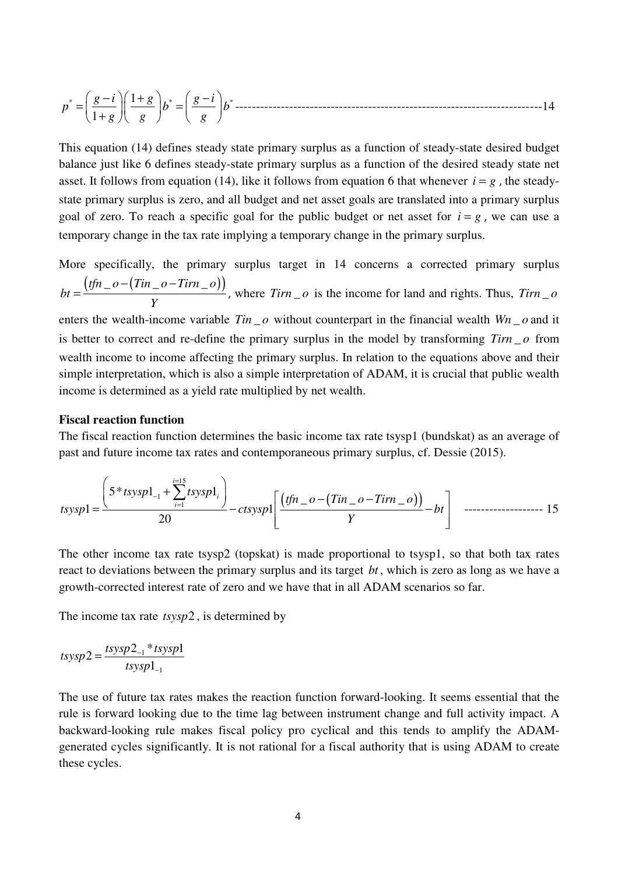$$
p^* = \left(\frac{g-i}{1+g}\right)\left(\frac{1+g}{g}\right)b^* = \left(\frac{g-i}{g}\right)b^* \dots
$$

This equation (14) defines steady state primary surplus as a function of steady-state desired budget balance just like 6 defines steady-state primary surplus as a function of the desired steady state net asset. It follows from equation (14), like it follows from equation 6 that whenever  $i = g$ , the steadystate primary surplus is zero, and all budget and net asset goals are translated into a primary surplus goal of zero. To reach a specific goal for the public budget or net asset for  $i = g$ , we can use a temporary change in the tax rate implying a temporary change in the primary surplus.

More specifically, the primary surplus target in 14 concerns a corrected primary surplus  $(tfn \_ o - (Tin \_ o - Tirn \_ o))$ *bt Y*  $-(Tin\_\ o =\frac{(9.4 \pm 1.00 \times 10^{-6})}{V}$ , where *Tirn*  $\theta$  is the income for land and rights. Thus, *Tirn*  $\theta$ enters the wealth-income variable  $Tin \_o$  without counterpart in the financial wealth  $Wn \_o$  and it is better to correct and re-define the primary surplus in the model by transforming  $Tirn_0$  from

wealth income to income affecting the primary surplus. In relation to the equations above and their simple interpretation, which is also a simple interpretation of ADAM, it is crucial that public wealth income is determined as a yield rate multiplied by net wealth.

#### **Fiscal reaction function**

The fiscal reaction function determines the basic income tax rate tsysp1 (bundskat) as an average of past and future income tax rates and contemporaneous primary surplus, cf. Dessie (2015).

$$
tssysp1 = \frac{\left(5 * tssysp1_{-1} + \sum_{i=1}^{i=15} tssysp1_i\right)}{20} - ctsysp1 \left[\frac{\left(tfn - o - (Tin - o - Tirn - o)\right)}{Y} - bt\right] \quad \text{------------------} \quad 15
$$

The other income tax rate tsysp2 (topskat) is made proportional to tsysp1, so that both tax rates react to deviations between the primary surplus and its target *bt* , which is zero as long as we have a growth-corrected interest rate of zero and we have that in all ADAM scenarios so far.

The income tax rate *tsysp*2 , is determined by

$$
tsysp2 = \frac{tsysp2_{-1} * tsysp1}{tsysp1_{-1}}
$$

The use of future tax rates makes the reaction function forward-looking. It seems essential that the rule is forward looking due to the time lag between instrument change and full activity impact. A backward-looking rule makes fiscal policy pro cyclical and this tends to amplify the ADAMgenerated cycles significantly. It is not rational for a fiscal authority that is using ADAM to create these cycles.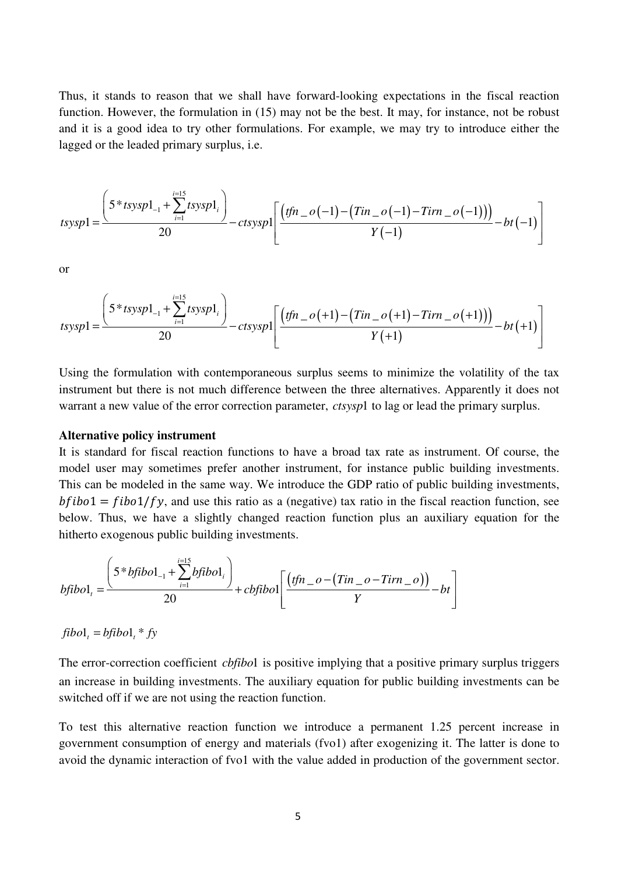Thus, it stands to reason that we shall have forward-looking expectations in the fiscal reaction function. However, the formulation in (15) may not be the best. It may, for instance, not be robust and it is a good idea to try other formulations. For example, we may try to introduce either the lagged or the leaded primary surplus, i.e.

$$
tsysp1 = \frac{\left(5 * tsysp1_{-1} + \sum_{i=1}^{i=15} tsysp1_i\right)}{20} - ctsysp1 \left[\frac{(tfn - o(-1) - (Tin - o(-1) - Tirn - o(-1)))}{Y(-1)} - bt(-1)\right]
$$

or

$$
tsysp1 = \frac{\left(5 * tsysp1_{-1} + \sum_{i=1}^{i=15} tsysp1_i\right)}{20} - ctsysp1 \left[\frac{\left(tfn - o(+1) - (Tin - o(+1) - Tirn - o(+1)\right)\right)}{Y(+1)} - bt(+1)\right]
$$

Using the formulation with contemporaneous surplus seems to minimize the volatility of the tax instrument but there is not much difference between the three alternatives. Apparently it does not warrant a new value of the error correction parameter, *ctsysp*1 to lag or lead the primary surplus.

#### **Alternative policy instrument**

It is standard for fiscal reaction functions to have a broad tax rate as instrument. Of course, the model user may sometimes prefer another instrument, for instance public building investments. This can be modeled in the same way. We introduce the GDP ratio of public building investments,  $bf1 = fib01/fy$ , and use this ratio as a (negative) tax ratio in the fiscal reaction function, see below. Thus, we have a slightly changed reaction function plus an auxiliary equation for the hitherto exogenous public building investments.

$$
bfibo1_{i} = \frac{\left(5 * bfibo1_{-1} + \sum_{i=1}^{i=15} bfibo1_{i}\right)}{20} + cbfibo1\left[\frac{(tfn_{-}o - (Tin_{-}o - Tirn_{-}o))}{Y} - bt\right]
$$

 $fibo1<sub>i</sub> = bfibo1<sub>i</sub> * fy$ 

The error-correction coefficient *cbfibo*1 is positive implying that a positive primary surplus triggers an increase in building investments. The auxiliary equation for public building investments can be switched off if we are not using the reaction function.

To test this alternative reaction function we introduce a permanent 1.25 percent increase in government consumption of energy and materials (fvo1) after exogenizing it. The latter is done to avoid the dynamic interaction of fvo1 with the value added in production of the government sector.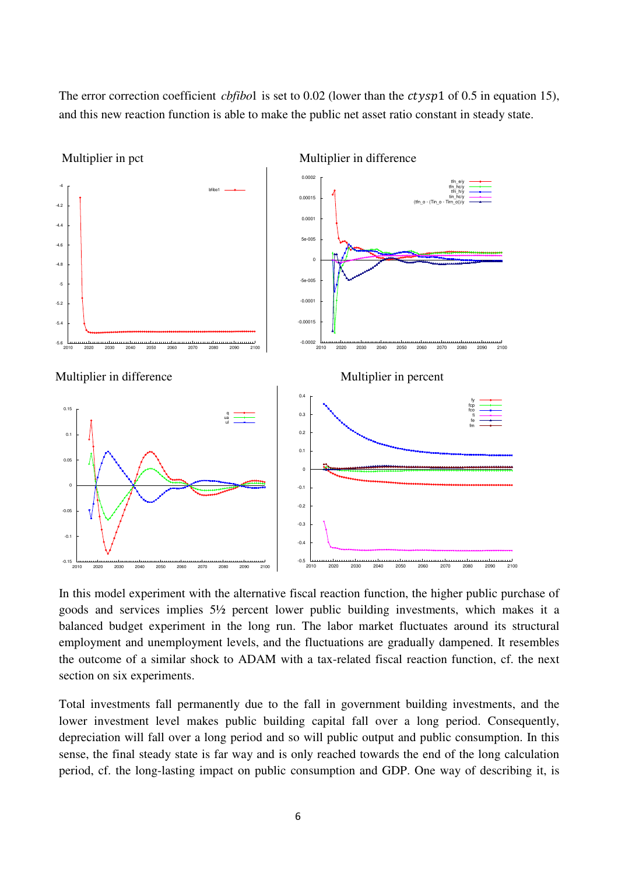The error correction coefficient *cbfibo*1 is set to  $0.02$  (lower than the *ctysp*1 of  $0.5$  in equation 15), and this new reaction function is able to make the public net asset ratio constant in steady state.



In this model experiment with the alternative fiscal reaction function, the higher public purchase of goods and services implies 5½ percent lower public building investments, which makes it a balanced budget experiment in the long run. The labor market fluctuates around its structural employment and unemployment levels, and the fluctuations are gradually dampened. It resembles the outcome of a similar shock to ADAM with a tax-related fiscal reaction function, cf. the next section on six experiments.

Total investments fall permanently due to the fall in government building investments, and the lower investment level makes public building capital fall over a long period. Consequently, depreciation will fall over a long period and so will public output and public consumption. In this sense, the final steady state is far way and is only reached towards the end of the long calculation period, cf. the long-lasting impact on public consumption and GDP. One way of describing it, is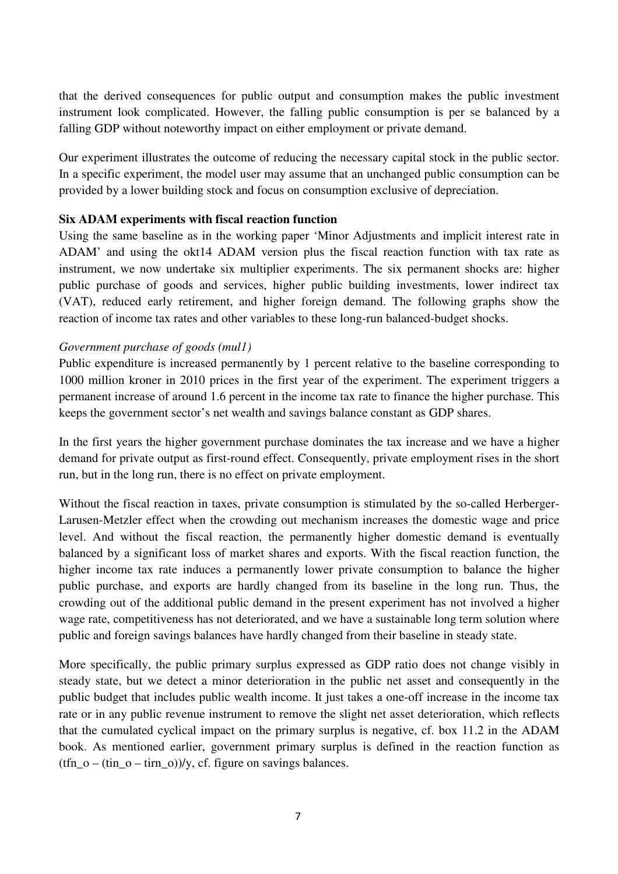that the derived consequences for public output and consumption makes the public investment instrument look complicated. However, the falling public consumption is per se balanced by a falling GDP without noteworthy impact on either employment or private demand.

Our experiment illustrates the outcome of reducing the necessary capital stock in the public sector. In a specific experiment, the model user may assume that an unchanged public consumption can be provided by a lower building stock and focus on consumption exclusive of depreciation.

## **Six ADAM experiments with fiscal reaction function**

Using the same baseline as in the working paper 'Minor Adjustments and implicit interest rate in ADAM' and using the okt14 ADAM version plus the fiscal reaction function with tax rate as instrument, we now undertake six multiplier experiments. The six permanent shocks are: higher public purchase of goods and services, higher public building investments, lower indirect tax (VAT), reduced early retirement, and higher foreign demand. The following graphs show the reaction of income tax rates and other variables to these long-run balanced-budget shocks.

## *Government purchase of goods (mul1)*

Public expenditure is increased permanently by 1 percent relative to the baseline corresponding to 1000 million kroner in 2010 prices in the first year of the experiment. The experiment triggers a permanent increase of around 1.6 percent in the income tax rate to finance the higher purchase. This keeps the government sector's net wealth and savings balance constant as GDP shares.

In the first years the higher government purchase dominates the tax increase and we have a higher demand for private output as first-round effect. Consequently, private employment rises in the short run, but in the long run, there is no effect on private employment.

Without the fiscal reaction in taxes, private consumption is stimulated by the so-called Herberger-Larusen-Metzler effect when the crowding out mechanism increases the domestic wage and price level. And without the fiscal reaction, the permanently higher domestic demand is eventually balanced by a significant loss of market shares and exports. With the fiscal reaction function, the higher income tax rate induces a permanently lower private consumption to balance the higher public purchase, and exports are hardly changed from its baseline in the long run. Thus, the crowding out of the additional public demand in the present experiment has not involved a higher wage rate, competitiveness has not deteriorated, and we have a sustainable long term solution where public and foreign savings balances have hardly changed from their baseline in steady state.

More specifically, the public primary surplus expressed as GDP ratio does not change visibly in steady state, but we detect a minor deterioration in the public net asset and consequently in the public budget that includes public wealth income. It just takes a one-off increase in the income tax rate or in any public revenue instrument to remove the slight net asset deterioration, which reflects that the cumulated cyclical impact on the primary surplus is negative, cf. box 11.2 in the ADAM book. As mentioned earlier, government primary surplus is defined in the reaction function as  $(tfn_0 - (tin_0 - tirn_0))/y$ , cf. figure on savings balances.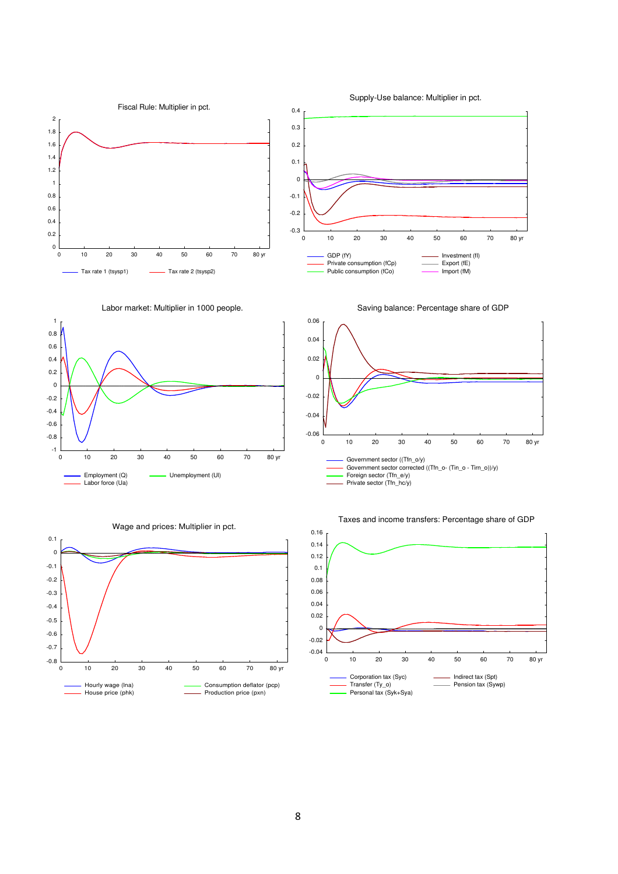







Supply-Use balance: Multiplier in pct.





#### Taxes and income transfers: Percentage share of GDP

Private consumption (fCp) Public consumption (fCo)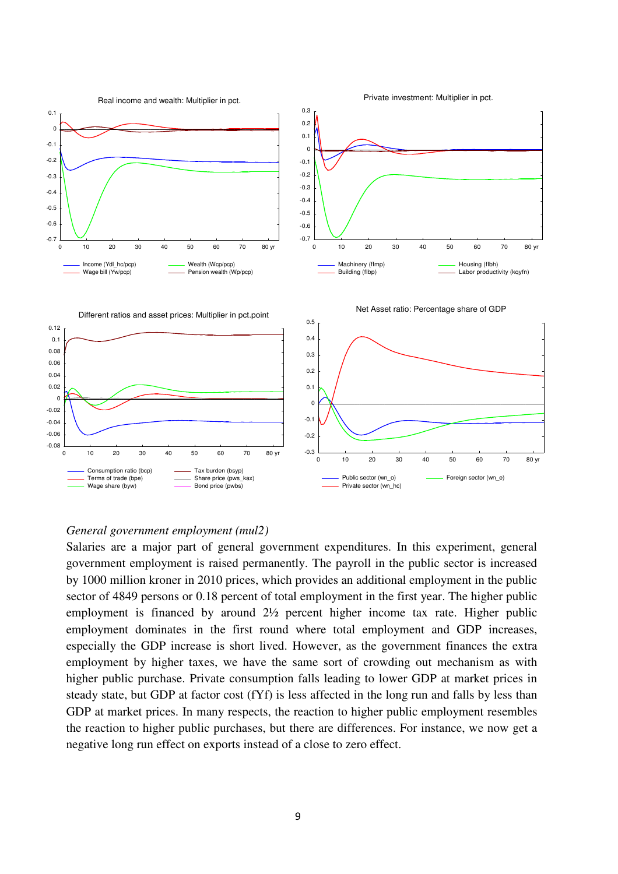

#### *General government employment (mul2)*

Salaries are a major part of general government expenditures. In this experiment, general government employment is raised permanently. The payroll in the public sector is increased by 1000 million kroner in 2010 prices, which provides an additional employment in the public sector of 4849 persons or 0.18 percent of total employment in the first year. The higher public employment is financed by around 2½ percent higher income tax rate. Higher public employment dominates in the first round where total employment and GDP increases, especially the GDP increase is short lived. However, as the government finances the extra employment by higher taxes, we have the same sort of crowding out mechanism as with higher public purchase. Private consumption falls leading to lower GDP at market prices in steady state, but GDP at factor cost (fYf) is less affected in the long run and falls by less than GDP at market prices. In many respects, the reaction to higher public employment resembles the reaction to higher public purchases, but there are differences. For instance, we now get a negative long run effect on exports instead of a close to zero effect.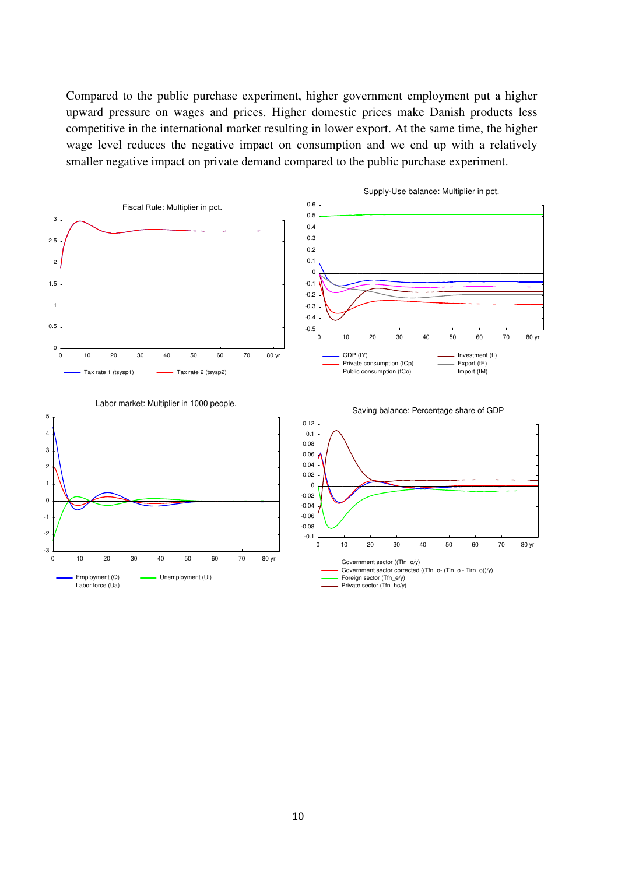Compared to the public purchase experiment, higher government employment put a higher upward pressure on wages and prices. Higher domestic prices make Danish products less competitive in the international market resulting in lower export. At the same time, the higher wage level reduces the negative impact on consumption and we end up with a relatively smaller negative impact on private demand compared to the public purchase experiment.

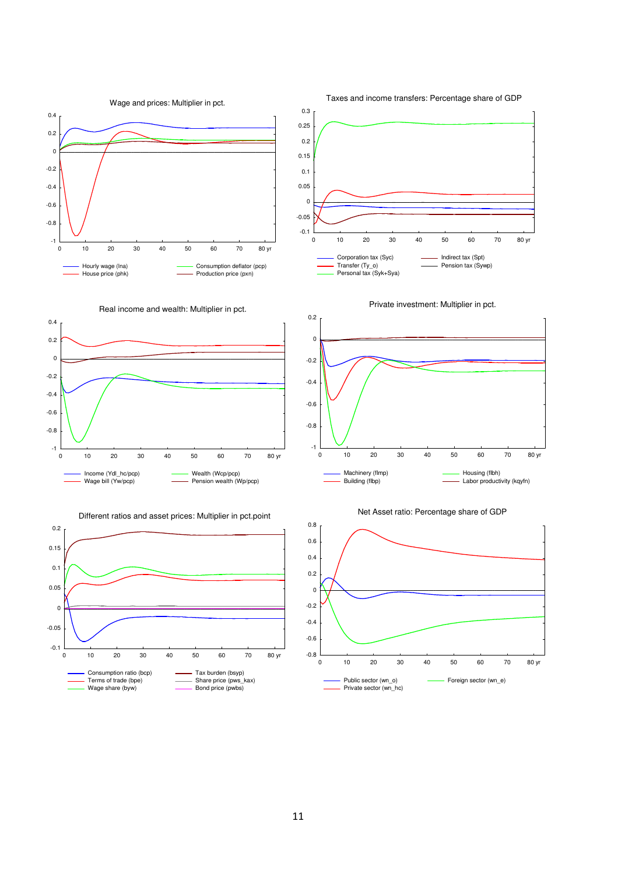



















Taxes and income transfers: Percentage share of GDP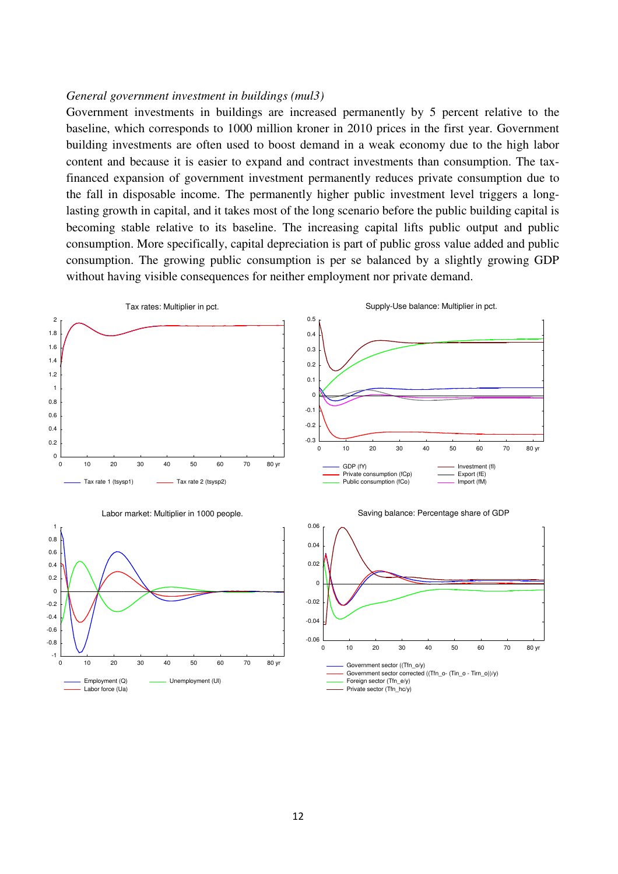### *General government investment in buildings (mul3)*

Government investments in buildings are increased permanently by 5 percent relative to the baseline, which corresponds to 1000 million kroner in 2010 prices in the first year. Government building investments are often used to boost demand in a weak economy due to the high labor content and because it is easier to expand and contract investments than consumption. The taxfinanced expansion of government investment permanently reduces private consumption due to the fall in disposable income. The permanently higher public investment level triggers a longlasting growth in capital, and it takes most of the long scenario before the public building capital is becoming stable relative to its baseline. The increasing capital lifts public output and public consumption. More specifically, capital depreciation is part of public gross value added and public consumption. The growing public consumption is per se balanced by a slightly growing GDP without having visible consequences for neither employment nor private demand.

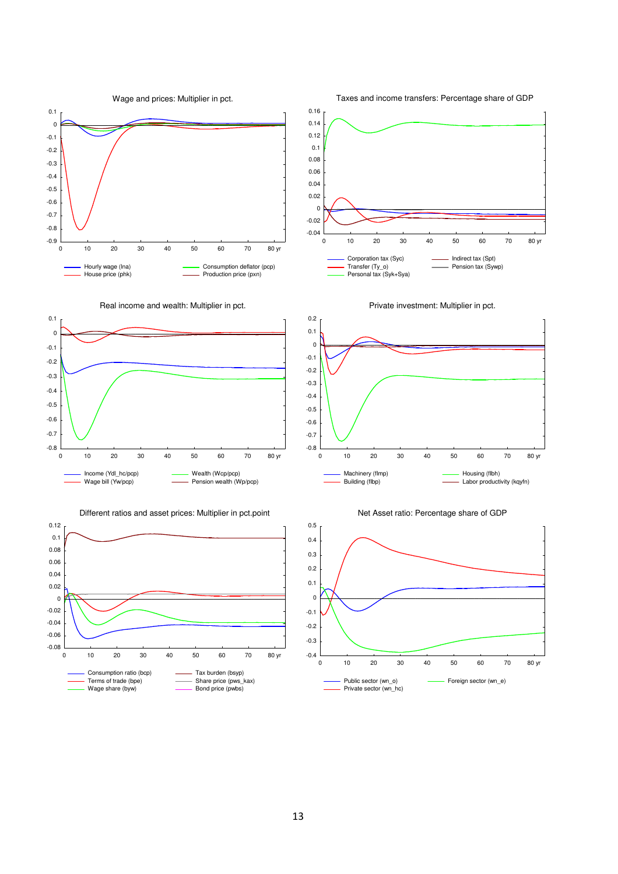

Taxes and income transfers: Percentage share of GDP



Real income and wealth: Multiplier in pct.



Different ratios and asset prices: Multiplier in pct.point









Private investment: Multiplier in pct.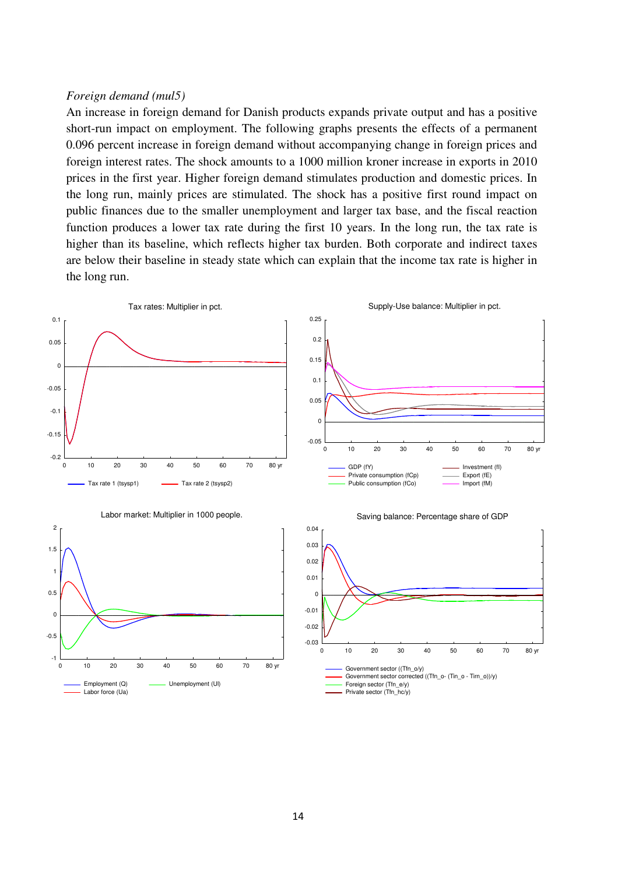#### *Foreign demand (mul5)*

An increase in foreign demand for Danish products expands private output and has a positive short-run impact on employment. The following graphs presents the effects of a permanent 0.096 percent increase in foreign demand without accompanying change in foreign prices and foreign interest rates. The shock amounts to a 1000 million kroner increase in exports in 2010 prices in the first year. Higher foreign demand stimulates production and domestic prices. In the long run, mainly prices are stimulated. The shock has a positive first round impact on public finances due to the smaller unemployment and larger tax base, and the fiscal reaction function produces a lower tax rate during the first 10 years. In the long run, the tax rate is higher than its baseline, which reflects higher tax burden. Both corporate and indirect taxes are below their baseline in steady state which can explain that the income tax rate is higher in the long run.





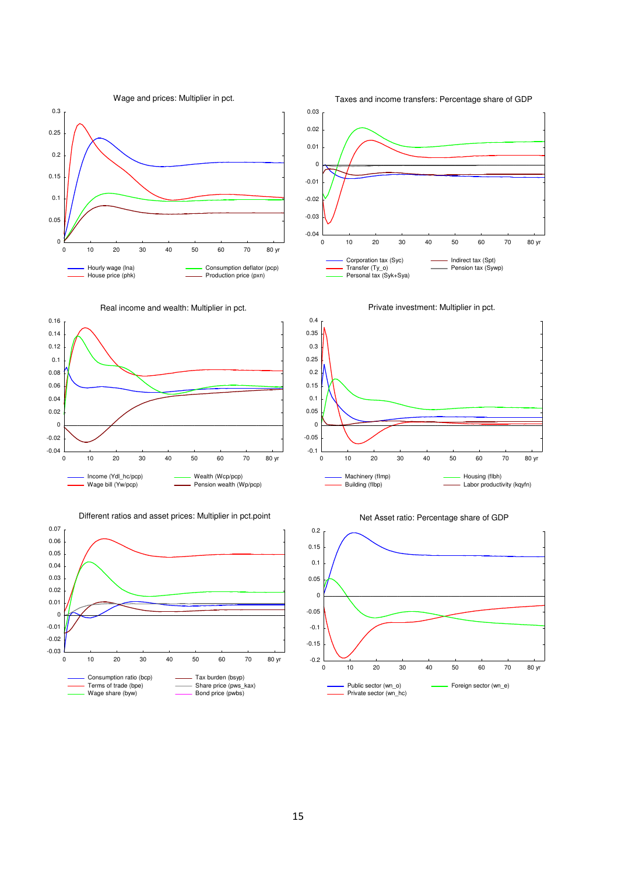



Real income and wealth: Multiplier in pct.

0.16



Different ratios and asset prices: Multiplier in pct.point











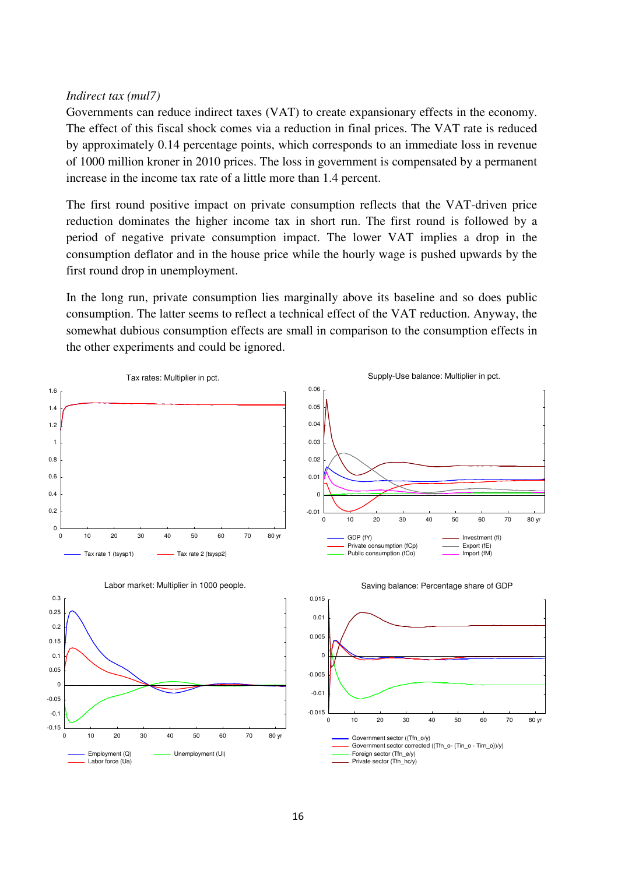#### *Indirect tax (mul7)*

Governments can reduce indirect taxes (VAT) to create expansionary effects in the economy. The effect of this fiscal shock comes via a reduction in final prices. The VAT rate is reduced by approximately 0.14 percentage points, which corresponds to an immediate loss in revenue of 1000 million kroner in 2010 prices. The loss in government is compensated by a permanent increase in the income tax rate of a little more than 1.4 percent.

The first round positive impact on private consumption reflects that the VAT-driven price reduction dominates the higher income tax in short run. The first round is followed by a period of negative private consumption impact. The lower VAT implies a drop in the consumption deflator and in the house price while the hourly wage is pushed upwards by the first round drop in unemployment.

In the long run, private consumption lies marginally above its baseline and so does public consumption. The latter seems to reflect a technical effect of the VAT reduction. Anyway, the somewhat dubious consumption effects are small in comparison to the consumption effects in the other experiments and could be ignored.

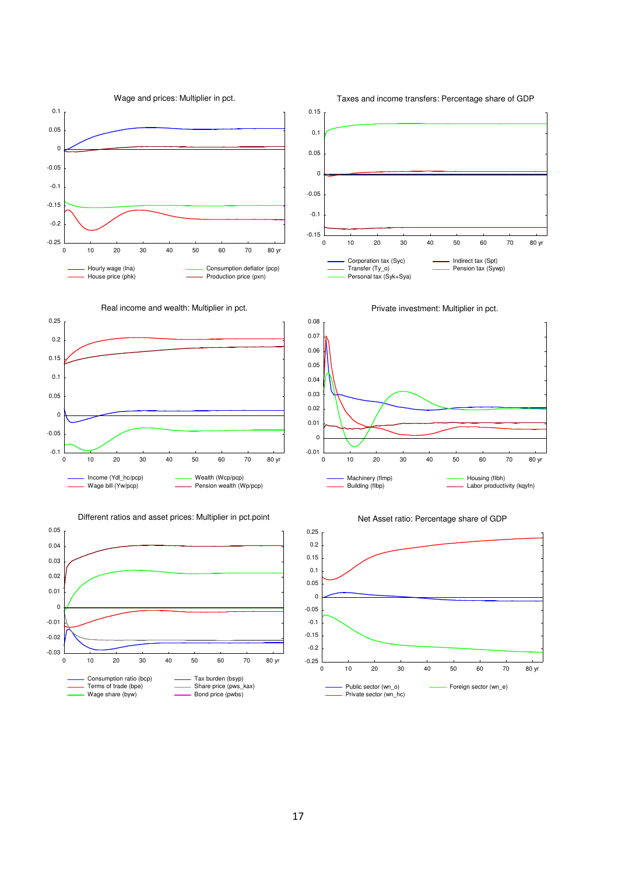





Income (Ydl\_hc/pcp) Wage bill (Yw/pcp)

0.05

Real income and wealth: Multiplier in pct.





Wealth (Wcp/pcp) Pension wealth (Wp/pcp)







#### Taxes and income transfers: Percentage share of GDP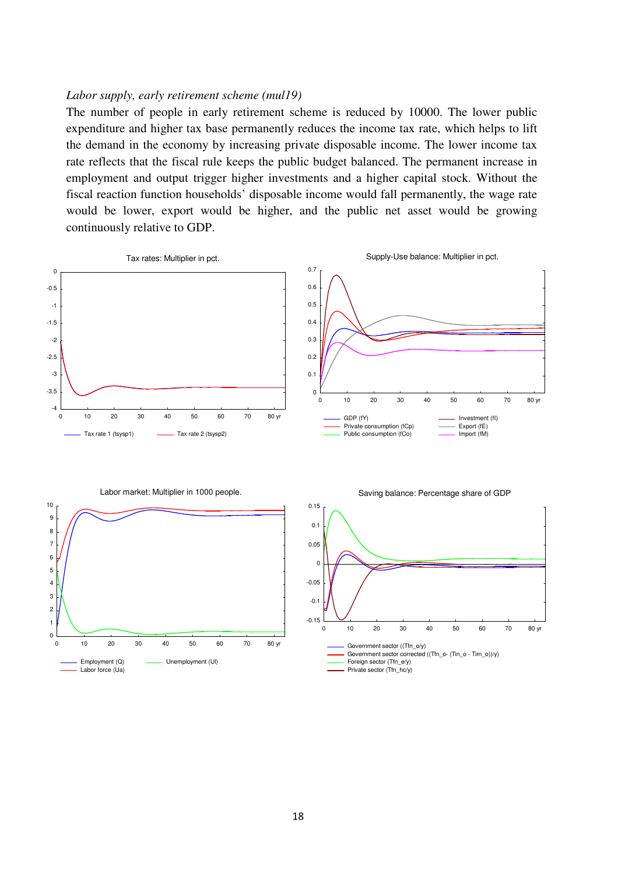#### *Labor supply, early retirement scheme (mul19)*

The number of people in early retirement scheme is reduced by 10000. The lower public expenditure and higher tax base permanently reduces the income tax rate, which helps to lift the demand in the economy by increasing private disposable income. The lower income tax rate reflects that the fiscal rule keeps the public budget balanced. The permanent increase in employment and output trigger higher investments and a higher capital stock. Without the fiscal reaction function households' disposable income would fall permanently, the wage rate would be lower, export would be higher, and the public net asset would be growing continuously relative to GDP.

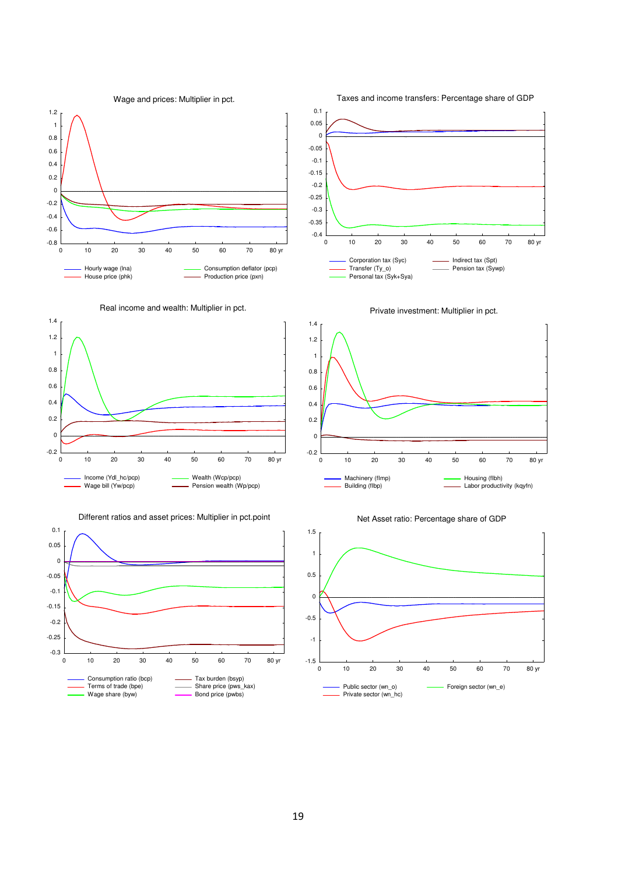



1.4









Taxes and income transfers: Percentage share of GDP







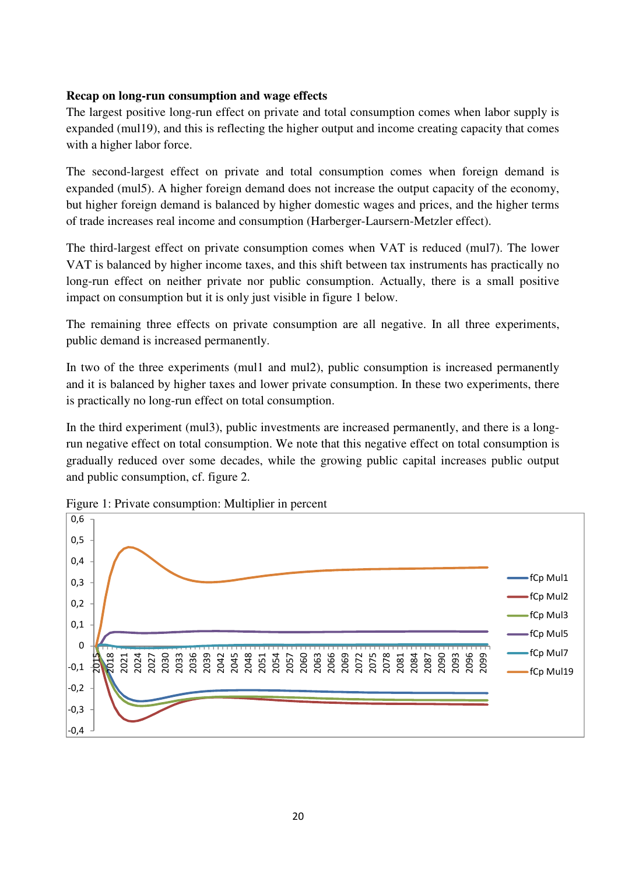# **Recap on long-run consumption and wage effects**

The largest positive long-run effect on private and total consumption comes when labor supply is expanded (mul19), and this is reflecting the higher output and income creating capacity that comes with a higher labor force.

The second-largest effect on private and total consumption comes when foreign demand is expanded (mul5). A higher foreign demand does not increase the output capacity of the economy, but higher foreign demand is balanced by higher domestic wages and prices, and the higher terms of trade increases real income and consumption (Harberger-Laursern-Metzler effect).

The third-largest effect on private consumption comes when VAT is reduced (mul7). The lower VAT is balanced by higher income taxes, and this shift between tax instruments has practically no long-run effect on neither private nor public consumption. Actually, there is a small positive impact on consumption but it is only just visible in figure 1 below.

The remaining three effects on private consumption are all negative. In all three experiments, public demand is increased permanently.

In two of the three experiments (mul1 and mul2), public consumption is increased permanently and it is balanced by higher taxes and lower private consumption. In these two experiments, there is practically no long-run effect on total consumption.

In the third experiment (mul3), public investments are increased permanently, and there is a longrun negative effect on total consumption. We note that this negative effect on total consumption is gradually reduced over some decades, while the growing public capital increases public output and public consumption, cf. figure 2.



Figure 1: Private consumption: Multiplier in percent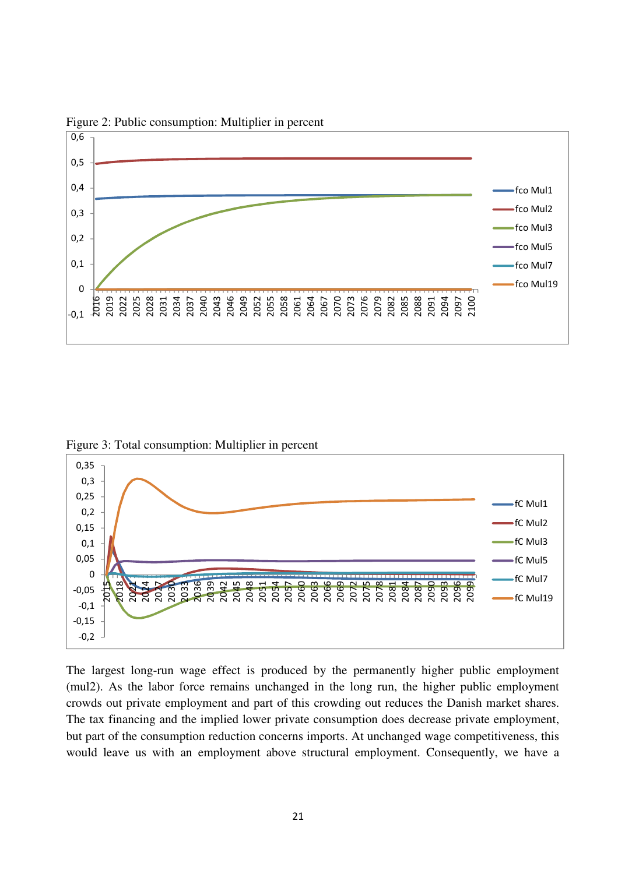

Figure 2: Public consumption: Multiplier in percent

Figure 3: Total consumption: Multiplier in percent



The largest long-run wage effect is produced by the permanently higher public employment (mul2). As the labor force remains unchanged in the long run, the higher public employment crowds out private employment and part of this crowding out reduces the Danish market shares. The tax financing and the implied lower private consumption does decrease private employment, but part of the consumption reduction concerns imports. At unchanged wage competitiveness, this would leave us with an employment above structural employment. Consequently, we have a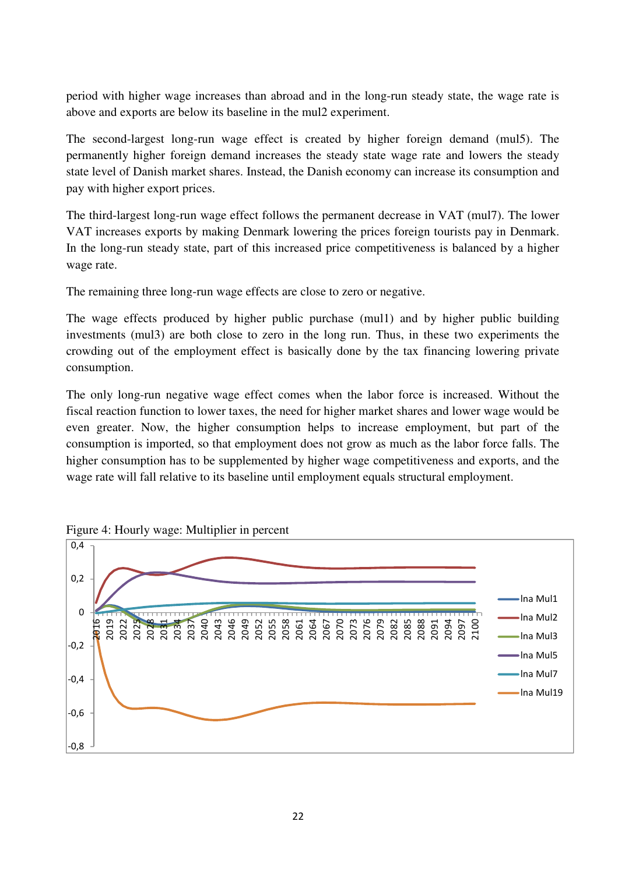period with higher wage increases than abroad and in the long-run steady state, the wage rate is above and exports are below its baseline in the mul2 experiment.

The second-largest long-run wage effect is created by higher foreign demand (mul5). The permanently higher foreign demand increases the steady state wage rate and lowers the steady state level of Danish market shares. Instead, the Danish economy can increase its consumption and pay with higher export prices.

The third-largest long-run wage effect follows the permanent decrease in VAT (mul7). The lower VAT increases exports by making Denmark lowering the prices foreign tourists pay in Denmark. In the long-run steady state, part of this increased price competitiveness is balanced by a higher wage rate.

The remaining three long-run wage effects are close to zero or negative.

The wage effects produced by higher public purchase (mul1) and by higher public building investments (mul3) are both close to zero in the long run. Thus, in these two experiments the crowding out of the employment effect is basically done by the tax financing lowering private consumption.

The only long-run negative wage effect comes when the labor force is increased. Without the fiscal reaction function to lower taxes, the need for higher market shares and lower wage would be even greater. Now, the higher consumption helps to increase employment, but part of the consumption is imported, so that employment does not grow as much as the labor force falls. The higher consumption has to be supplemented by higher wage competitiveness and exports, and the wage rate will fall relative to its baseline until employment equals structural employment.



Figure 4: Hourly wage: Multiplier in percent